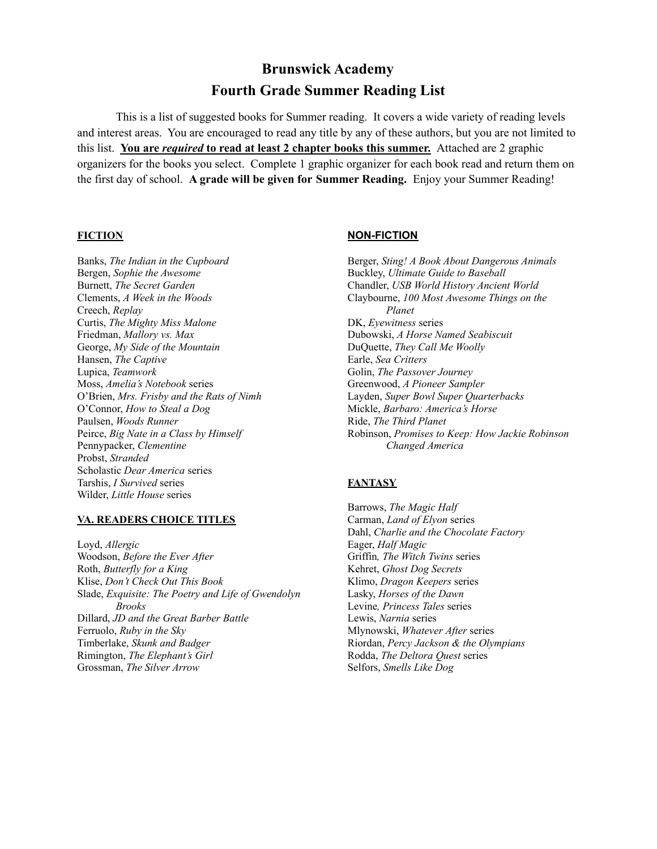# **Brunswick Academy Fourth Grade Summer Reading List**

This is a list of suggested books for Summer reading. It covers a wide variety of reading levels and interest areas. You are encouraged to read any title by any of these authors, but you are not limited to this list. **You are** *required* **to read at least 2 chapter books this summer.** Attached are 2 graphic organizers for the books you select. Complete 1 graphic organizer for each book read and return them on the first day of school. **A grade will be given for Summer Reading.** Enjoy your Summer Reading!

Bergen, *Sophie the Awesome* Buckley, *Ultimate Guide to Baseball* Creech, *Replay Planet* Curtis, *The Mighty Miss Malone* DK, *Eyewitness* series Friedman, *Mallory vs. Max* Dubowski, *A Horse Named Seabiscuit* George, *My Side of the Mountain* DuQuette, *They Call Me Woolly* Hansen, *The Captive* Earle, *Sea Critters* Lupica, *Teamwork* Golin, *The Passover Journey* Moss, *Amelia's Notebook* series Greenwood, *A Pioneer Sampler* O'Brien, *Mrs. Frisby and the Rats of Nimh* Layden, *Super Bowl Super Quarterbacks* O'Connor, *How to Steal a Dog* Mickle, *Barbaro: America's Horse* Paulsen, *Woods Runner* Ride, *The Third Planet* Pennypacker, *Clementine Changed America* Probst, *Stranded* Scholastic *Dear America* series Tarshis, *I Survived* series **FANTASY** Wilder, *Little House* series

### **VA. READERS CHOICE TITLES** Carman, *Land of Elyon* series

Loyd, *Allergic* Eager, *Half Magic* Woodson, *Before the Ever After* Griffin*, The Witch Twins* series Roth, *Butterfly for a King* Kehret, *Ghost Dog Secrets* Klise, *Don't Check Out This Book* Klimo, *Dragon Keepers* series Slade, *Exquisite: The Poetry and Life of Gwendolyn* Lasky, *Horses of the Dawn Brooks* Levine*, Princess Tales* series Dillard, *JD and the Great Barber Battle* Lewis, *Narnia* series Ferruolo, *Ruby in the Sky* Mlynowski, *Whatever After* series Timberlake, *Skunk and Badger* Riordan, *Percy Jackson & the Olympians* Rimington, *The Elephant's Girl* Rodda, *The Deltora Quest* series Grossman, *The Silver Arrow* Selfors, *Smells Like Dog*

## **FICTION NON-FICTION**

Banks, *The Indian in the Cupboard* Berger, *Sting! A Book About Dangerous Animals* Burnett, *The Secret Garden* Chandler, *USB World History Ancient World* Clements, *A Week in the Woods* Claybourne, *100 Most Awesome Things on the* Peirce, *Big Nate in a Class by Himself* Robinson, *Promises to Keep: How Jackie Robinson*

Barrows, *The Magic Half* Dahl, *Charlie and the Chocolate Factory*